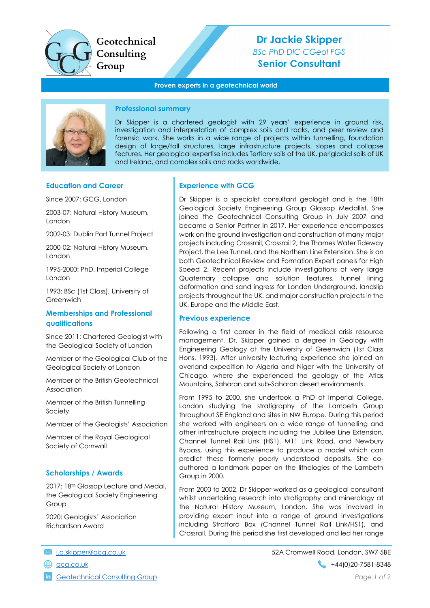

Geotechnical Consulting Group

# Dr Jackie Skipper BSc PhD DIC CGeol FGS Senior Consultant

### Proven experts in a geotechnical world



### Professional summary

Dr Skipper is a chartered geologist with 29 years' experience in ground risk, investigation and interpretation of complex soils and rocks, and peer review and forensic work. She works in a wide range of projects within tunnelling, foundation design of large/tall structures, large infrastructure projects. slopes and collapse features. Her geological expertise includes Tertiary soils of the UK, periglacial soils of UK and Ireland, and complex soils and rocks worldwide.

### Education and Career

Since 2007: GCG, London

2003-07: Natural History Museum, London

2002-03: Dublin Port Tunnel Project

2000-02: Natural History Museum, London

1995-2000: PhD, Imperial College London

1993: BSc (1st Class), University of Greenwich

### Memberships and Professional qualifications

Since 2011: Chartered Geologist with the Geological Society of London

Member of the Geological Club of the Geological Society of London

Member of the British Geotechnical Association

Member of the British Tunnelling Society

Member of the Geologists' Association

Member of the Royal Geological Society of Cornwall

### Scholarships / Awards

2017: 18th Glossop Lecture and Medal, the Geological Society Engineering Group

2020: Geologists' Association Richardson Award

**in** Geotechnical Consulting Group **Page 1 of 2** and 2 and 2 and 2 and 2 and 2 and 2 and 2 and 2 and 2 and 2 and 2 and 2 and 2 and 2 and 2 and 2 and 2 and 2 and 2 and 2 and 2 and 2 and 2 and 2 and 2 and 2 and 2 and 2 and 2

# Experience with GCG

Dr Skipper is a specialist consultant geologist and is the 18th Geological Society Engineering Group Glossop Medallist. She joined the Geotechnical Consulting Group in July 2007 and became a Senior Partner in 2017. Her experience encompasses work on the ground investigation and construction of many major projects including Crossrail, Crossrail 2, the Thames Water Tideway Project, the Lee Tunnel, and the Northern Line Extension. She is on both Geotechnical Review and Formation Expert panels for High Speed 2. Recent projects include investigations of very large Quaternary collapse and solution features, tunnel lining deformation and sand ingress for London Underground, landslip projects throughout the UK, and major construction projects in the UK, Europe and the Middle East.

### Previous experience

Following a first career in the field of medical crisis resource management. Dr. Skipper gained a degree in Geology with Engineering Geology at the University of Greenwich (1st Class Hons, 1993). After university lecturing experience she joined an overland expedition to Algeria and Niger with the University of Chicago, where she experienced the geology of the Atlas Mountains, Saharan and sub-Saharan desert environments.

From 1995 to 2000, she undertook a PhD at Imperial College, London studying the stratigraphy of the Lambeth Group throughout SE England and sites in NW Europe. During this period she worked with engineers on a wide range of tunnelling and other infrastructure projects including the Jubilee Line Extension, Channel Tunnel Rail Link (HS1), M11 Link Road, and Newbury Bypass, using this experience to produce a model which can predict these formerly poorly understood deposits. She coauthored a landmark paper on the lithologies of the Lambeth Group in 2000.

From 2000 to 2002, Dr Skipper worked as a geological consultant whilst undertaking research into stratigraphy and mineralogy at the Natural History Museum, London. She was involved in providing expert input into a range of ground investigations including Stratford Box (Channel Tunnel Rail Link/HS1), and Crossrail. During this period she first developed and led her range